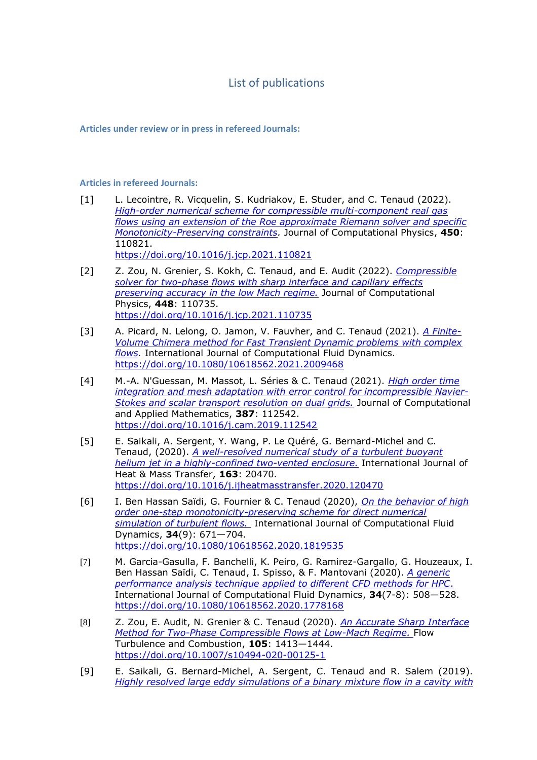## List of publications

**Articles under review or in press in refereed Journals:**

## **Articles in refereed Journals:**

- [1] L. Lecointre, R. Vicquelin, S. Kudriakov, E. Studer, and C. Tenaud (2022). *[High-order numerical scheme for compressible multi-component real gas](https://mycore.core-cloud.net/index.php/s/gieMBJNAoT8rUp5)  [flows using an extension of the Roe approximate Riemann solver and specific](https://mycore.core-cloud.net/index.php/s/gieMBJNAoT8rUp5)  [Monotonicity-Preserving constraints.](https://mycore.core-cloud.net/index.php/s/gieMBJNAoT8rUp5)* Journal of Computational Physics, **450**: 110821. <https://doi.org/10.1016/j.jcp.2021.110821>
- [2] Z. Zou, N. Grenier, S. Kokh, C. Tenaud, and E. Audit (2022). *[Compressible](https://mycore.core-cloud.net/index.php/s/ndHmukGT7VzcxYe)  [solver for two-phase flows with sharp interface and capillary effects](https://mycore.core-cloud.net/index.php/s/ndHmukGT7VzcxYe)  [preserving accuracy in the low Mach regime.](https://mycore.core-cloud.net/index.php/s/ndHmukGT7VzcxYe)* Journal of Computational Physics, **448**: 110735. <https://doi.org/10.1016/j.jcp.2021.110735>
- [3] A. Picard, N. Lelong, O. Jamon, V. Fauvher, and C. Tenaud (2021). *[A Finite-](https://mycore.core-cloud.net/index.php/s/AgyIBQPMoykGCIM)[Volume Chimera method for Fast Transient Dynamic problems with complex](https://mycore.core-cloud.net/index.php/s/AgyIBQPMoykGCIM)  [flows.](https://mycore.core-cloud.net/index.php/s/AgyIBQPMoykGCIM)* International Journal of Computational Fluid Dynamics. [https://doi.org/10.1080/10618562.2021.2009468](%5b2%5dhttps:/doi.org/10.1080/10618562.2021.2009468)
- [4] M.-A. N'Guessan, M. Massot, L. Séries & C. Tenaud (2021). *[High order time](https://perso.limsi.fr/tenaud/Files/Proof_JCAM_20191104.pdf)  [integration and mesh adaptation with error control for incompressible Navier-](https://perso.limsi.fr/tenaud/Files/Proof_JCAM_20191104.pdf)[Stokes and scalar transport resolution on dual grids.](https://perso.limsi.fr/tenaud/Files/Proof_JCAM_20191104.pdf)* Journal of Computational and Applied Mathematics, **387**: 112542. <https://doi.org/10.1016/j.cam.2019.112542>
- [5] E. Saikali, A. Sergent, Y. Wang, P. Le Quéré, G. Bernard-Michel and C. Tenaud, (2020). *[A well-resolved numerical study of a turbulent buoyant](https://perso.limsi.fr/tenaud/Files/dns_saikali_et_al_R1.pdf)  [helium jet in a highly-confined two-vented enclosure.](https://perso.limsi.fr/tenaud/Files/dns_saikali_et_al_R1.pdf)* International Journal of Heat & Mass Transfer, **163**: 20470. <https://doi.org/10.1016/j.ijheatmasstransfer.2020.120470>
- [6] I. Ben Hassan Saïdi, G. Fournier & C. Tenaud (2020), *[On the behavior of high](https://perso.limsi.fr/tenaud/Files/article_numerique_OSMP_2020.pdf)  [order one-step monotonicity-preserving scheme for direct numerical](https://perso.limsi.fr/tenaud/Files/article_numerique_OSMP_2020.pdf)  [simulation of turbulent flows.](https://perso.limsi.fr/tenaud/Files/article_numerique_OSMP_2020.pdf)* International Journal of Computational Fluid Dynamics, **34**(9): 671—704. <https://doi.org/10.1080/10618562.2020.1819535>
- [7] M. Garcia-Gasulla, F. Banchelli, K. Peiro, G. Ramirez-Gargallo, G. Houzeaux, I. Ben Hassan Saïdi, C. Tenaud, I. Spisso, & F. Mantovani (2020). *[A generic](https://perso.limsi.fr/tenaud/Files/cfd-in-hpc_2020_accepted.pdf)  [performance analysis technique applied to different CFD methods for HPC](https://perso.limsi.fr/tenaud/Files/cfd-in-hpc_2020_accepted.pdf)*. International Journal of Computational Fluid Dynamics, **34**(7-8): 508—528. <https://doi.org/10.1080/10618562.2020.1778168>
- [8] Z. Zou, E. Audit, N. Grenier & C. Tenaud (2020). *[An Accurate Sharp Interface](https://perso.limsi.fr/tenaud/Files/ZZou_FTC2020.pdf)  [Method for Two-Phase Compressible Flows at Low-Mach Regime.](https://perso.limsi.fr/tenaud/Files/ZZou_FTC2020.pdf)* Flow Turbulence and Combustion, **105**: 1413—1444. <https://doi.org/10.1007/s10494-020-00125-1>
- [9] E. Saikali, G. Bernard-Michel, A. Sergent, C. Tenaud and R. Salem (2019). *[Highly resolved large eddy simulations of a binary mixture flow in a cavity with](https://perso.limsi.fr/tenaud/Files/IJHE_ICHS_GBernard-Michel_etal_2018.pdf)*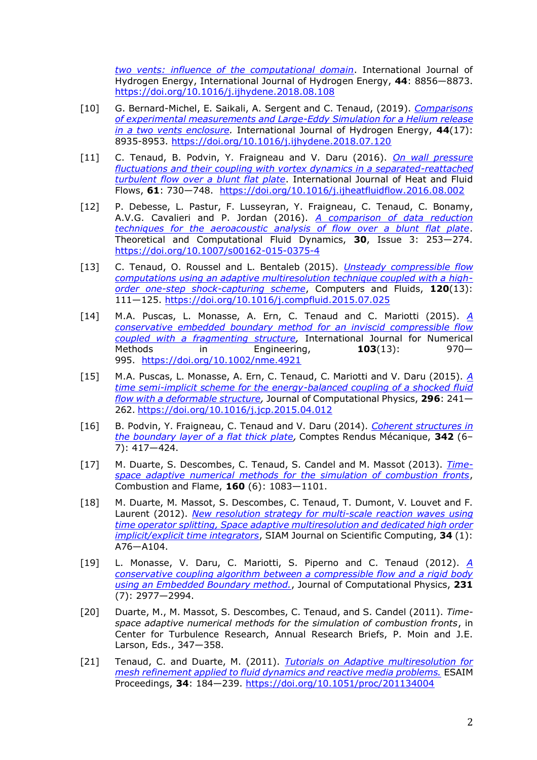*[two vents: influence of the computational domain](https://perso.limsi.fr/tenaud/Files/IJHE_ICHS_GBernard-Michel_etal_2018.pdf)*. International Journal of Hydrogen Energy, International Journal of Hydrogen Energy, **44**: 8856—8873. <https://doi.org/10.1016/j.ijhydene.2018.08.108>

- [10] G. Bernard-Michel, E. Saikali, A. Sergent and C. Tenaud, (2019). *[Comparisons](https://perso.limsi.fr/tenaud/Files/IJHE_ICHS_GBernard-Michel_etal_2018.pdf)  [of experimental measurements and Large-Eddy Simulation for a Helium release](https://perso.limsi.fr/tenaud/Files/IJHE_ICHS_GBernard-Michel_etal_2018.pdf)  [in a two vents enclosure.](https://perso.limsi.fr/tenaud/Files/IJHE_ICHS_GBernard-Michel_etal_2018.pdf)* International Journal of Hydrogen Energy, **44**(17): 8935-8953. <https://doi.org/10.1016/j.ijhydene.2018.07.120>
- [11] C. Tenaud, B. Podvin, Y. Fraigneau and V. Daru (2016). *[On wall pressure](https://www.sciencedirect.com/science/article/pii/S0142727X16304398)  [fluctuations and their coupling with vortex dynamics in a separated-reattached](https://www.sciencedirect.com/science/article/pii/S0142727X16304398)  [turbulent flow over a blunt flat plate](https://www.sciencedirect.com/science/article/pii/S0142727X16304398)*. International Journal of Heat and Fluid Flows, **61**: 730—748. <https://doi.org/10.1016/j.ijheatfluidflow.2016.08.002>
- [12] P. Debesse, L. Pastur, F. Lusseyran, Y. Fraigneau, C. Tenaud, C. Bonamy, A.V.G. Cavalieri and P. Jordan (2016). *[A comparison of data reduction](http://link.springer.com/article/10.1007/s00162-015-0375-4)  [techniques for the aeroacoustic analysis of flow over a blunt flat plate](http://link.springer.com/article/10.1007/s00162-015-0375-4)*. Theoretical and Computational Fluid Dynamics, **30**, Issue 3: 253—274. <https://doi.org/10.1007/s00162-015-0375-4>
- [13] C. Tenaud, O. Roussel and L. Bentaleb (2015). *[Unsteady compressible flow](http://www.sciencedirect.com/science/article/pii/S0045793015002595)  [computations using an adaptive multiresolution technique coupled with a high](http://www.sciencedirect.com/science/article/pii/S0045793015002595)[order one-step shock-capturing scheme](http://www.sciencedirect.com/science/article/pii/S0045793015002595)*, Computers and Fluids, **120**(13): 111—125. <https://doi.org/10.1016/j.compfluid.2015.07.025>
- [14] M.A. Puscas, L. Monasse, A. Ern, C. Tenaud and C. Mariotti (2015). *[A](http://onlinelibrary.wiley.com/doi/10.1002/nme.4921/abstract)  [conservative embedded boundary method for an inviscid compressible flow](http://onlinelibrary.wiley.com/doi/10.1002/nme.4921/abstract)  [coupled with a fragmenting structure,](http://onlinelibrary.wiley.com/doi/10.1002/nme.4921/abstract)* International Journal for Numerical Methods in Engineering, **103**(13): 970— 995. <https://doi.org/10.1002/nme.4921>
- [15] M.A. Puscas, L. Monasse, A. Ern, C. Tenaud, C. Mariotti and V. Daru (2015). *[A](http://www.sciencedirect.com/science/article/pii/S0021999115002582)  [time semi-implicit scheme for the energy-balanced coupling of a shocked fluid](http://www.sciencedirect.com/science/article/pii/S0021999115002582)  [flow with a deformable structure,](http://www.sciencedirect.com/science/article/pii/S0021999115002582)* Journal of Computational Physics, **296**: 241— 262. <https://doi.org/10.1016/j.jcp.2015.04.012>
- [16] B. Podvin, Y. Fraigneau, C. Tenaud and V. Daru (2014). *[Coherent structures in](http://www.sciencedirect.com/science/article/pii/S1631072114001041)  [the boundary layer of a flat thick plate,](http://www.sciencedirect.com/science/article/pii/S1631072114001041)* Comptes Rendus Mécanique, **342** (6– 7): 417—424.
- [17] M. Duarte, S. Descombes, C. Tenaud, S. Candel and M. Massot (2013). *[Time](http://www.sciencedirect.com/science/article/pii/S001021801300028X)[space adaptive numerical methods for the simulation of combustion fronts](http://www.sciencedirect.com/science/article/pii/S001021801300028X)*, Combustion and Flame, **160** (6): 1083—1101.
- [18] M. Duarte, M. Massot, S. Descombes, C. Tenaud, T. Dumont, V. Louvet and F. Laurent (2012). *[New resolution strategy for multi-scale reaction waves using](http://epubs.siam.org/doi/abs/10.1137/100816869)  [time operator splitting, Space adaptive multiresolution and dedicated high order](http://epubs.siam.org/doi/abs/10.1137/100816869)  [implicit/explicit time integrators](http://epubs.siam.org/doi/abs/10.1137/100816869)*, SIAM Journal on Scientific Computing, **34** (1): A76—A104.
- [19] L. Monasse, V. Daru, C. Mariotti, S. Piperno and C. Tenaud (2012). *[A](http://www.sciencedirect.com/science/article/pii/S0021999112000101)  [conservative coupling algorithm between a compressible flow and a rigid body](http://www.sciencedirect.com/science/article/pii/S0021999112000101)  [using an Embedded Boundary method.](http://www.sciencedirect.com/science/article/pii/S0021999112000101)*, Journal of Computational Physics, **231** (7): 2977—2994.
- [20] Duarte, M., M. Massot, S. Descombes, C. Tenaud, and S. Candel (2011). *Timespace adaptive numerical methods for the simulation of combustion fronts*, in Center for Turbulence Research, Annual Research Briefs, P. Moin and J.E. Larson, Eds., 347—358.
- [21] Tenaud, C. and Duarte, M. (2011). *[Tutorials on Adaptive multiresolution for](http://www.esaim-proc.org/articles/proc/pdf/2011/03/proc113404.pdf)  [mesh refinement applied to fluid dynamics and reactive media problems.](http://www.esaim-proc.org/articles/proc/pdf/2011/03/proc113404.pdf)* ESAIM Proceedings, **34**: 184—239. <https://doi.org/10.1051/proc/201134004>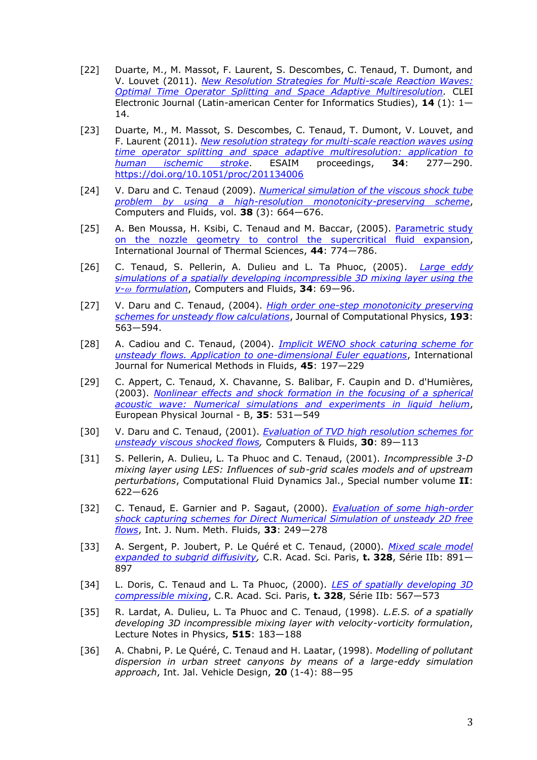- [22] Duarte, M., M. Massot, F. Laurent, S. Descombes, C. Tenaud, T. Dumont, and V. Louvet (2011). *[New Resolution Strategies for Multi-scale Reaction Waves:](http://www.clei.org/cleiej/paper.php?id=214)  [Optimal Time Operator Splitting and Space Adaptive Multiresolution.](http://www.clei.org/cleiej/paper.php?id=214)* CLEI Electronic Journal (Latin-american Center for Informatics Studies), **14** (1): 1— 14.
- [23] Duarte, M., M. Massot, S. Descombes, C. Tenaud, T. Dumont, V. Louvet, and F. Laurent (2011). *[New resolution strategy for multi-scale reaction waves using](http://www.esaim-proc.org/articles/proc/pdf/2011/03/proc113406.pdf)  [time operator splitting and space adaptive multiresolution: application to](http://www.esaim-proc.org/articles/proc/pdf/2011/03/proc113406.pdf)  [human ischemic stroke](http://www.esaim-proc.org/articles/proc/pdf/2011/03/proc113406.pdf)*. ESAIM proceedings, **34**: 277—290. <https://doi.org/10.1051/proc/201134006>
- [24] V. Daru and C. Tenaud (2009). *[Numerical simulation of the viscous shock tube](Files/CF38_VDaru_p664_2009.pdf)  [problem by using a high-resolution monotonicity-preserving scheme](Files/CF38_VDaru_p664_2009.pdf)*, Computers and Fluids, vol. **38** (3): 664—676.
- [25] A. Ben Moussa, H. Ksibi, C. Tenaud and M. Baccar, (2005). Parametric study [on the nozzle geometry to control the supercritical fluid expansion,](Files/BenMoussa2005_IJTS44_p774.pdf) International Journal of Thermal Sciences, **44**: 774—786.
- [26] C. Tenaud, S. Pellerin, A. Dulieu and L. Ta Phuoc, (2005). *[Large eddy](Files/CF34_CTenaud_p67_2005.pdf)  [simulations of a spatially developing incompressible 3D mixing layer using the](Files/CF34_CTenaud_p67_2005.pdf)  v- [formulation](Files/CF34_CTenaud_p67_2005.pdf)*, Computers and Fluids, **34**: 69—96.
- [27] V. Daru and C. Tenaud, (2004). *[High order one-step monotonicity preserving](https://perso.limsi.fr/tenaud/Files/JCP_193_p563_Daru.pdf)  [schemes for unsteady flow calculations](https://perso.limsi.fr/tenaud/Files/JCP_193_p563_Daru.pdf)*, Journal of Computational Physics, **193**: 563—594.
- [28] A. Cadiou and C. Tenaud, (2004). *[Implicit WENO shock caturing scheme for](https://perso.limsi.fr/tenaud/Files/Cadiou_Tenaud_IJNMF45_197.pdf)  [unsteady flows. Application to one-dimensional Euler equations](https://perso.limsi.fr/tenaud/Files/Cadiou_Tenaud_IJNMF45_197.pdf)*, International Journal for Numerical Methods in Fluids, **45**: 197—229
- [29] C. Appert, C. Tenaud, X. Chavanne, S. Balibar, F. Caupin and D. d'Humières, (2003). *[Nonlinear effects and shock formation in the focusing of a spherical](https://perso.limsi.fr/tenaud/Files/EPJB_Appert_35_p531.pdf)  [acoustic wave: Numerical simulations and experiments in liquid helium](https://perso.limsi.fr/tenaud/Files/EPJB_Appert_35_p531.pdf)*, European Physical Journal - B, **35**: 531—549
- [30] V. Daru and C. Tenaud, (2001). *[Evaluation of TVD high resolution schemes for](https://perso.limsi.fr/tenaud/Files/CF30_VDaru_p89_2001.pdf)  [unsteady viscous shocked flows,](https://perso.limsi.fr/tenaud/Files/CF30_VDaru_p89_2001.pdf)* Computers & Fluids, **30**: 89—113
- [31] S. Pellerin, A. Dulieu, L. Ta Phuoc and C. Tenaud, (2001). *Incompressible 3-D mixing layer using LES: Influences of sub-grid scales models and of upstream perturbations*, Computational Fluid Dynamics Jal., Special number volume **II**: 622—626
- [32] C. Tenaud, E. Garnier and P. Sagaut, (2000). *[Evaluation of some high-order](https://perso.limsi.fr/tenaud/Files/IJNMF_33_p249_Tenaud.pdf)  [shock capturing schemes for Direct Numerical Simulation of unsteady 2D free](https://perso.limsi.fr/tenaud/Files/IJNMF_33_p249_Tenaud.pdf)  [flows](https://perso.limsi.fr/tenaud/Files/IJNMF_33_p249_Tenaud.pdf)*, Int. J. Num. Meth. Fluids, **33**: 249—278
- [33] A. Sergent, P. Joubert, P. Le Quéré et C. Tenaud, (2000). *[Mixed scale model](https://perso.limsi.fr/tenaud/Files/CRAS_t328_SIIb_Sergent_p567_2000.pdf)  [expanded to subgrid diffusivity,](https://perso.limsi.fr/tenaud/Files/CRAS_t328_SIIb_Sergent_p567_2000.pdf)* C.R. Acad. Sci. Paris, **t. 328**, Série IIb: 891— 897
- [34] L. Doris, C. Tenaud and L. Ta Phuoc, (2000). *[LES of spatially developing 3D](https://perso.limsi.fr/tenaud/Files/CRAS_t328_SIIb_Doris_p861_2000.pdf)  [compressible mixing](https://perso.limsi.fr/tenaud/Files/CRAS_t328_SIIb_Doris_p861_2000.pdf)*, C.R. Acad. Sci. Paris, **t. 328**, Série IIb: 567—573
- [35] R. Lardat, A. Dulieu, L. Ta Phuoc and C. Tenaud, (1998). *L.E.S. of a spatially developing 3D incompressible mixing layer with velocity-vorticity formulation*, Lecture Notes in Physics, **515**: 183—188
- [36] A. Chabni, P. Le Quéré, C. Tenaud and H. Laatar, (1998). *Modelling of pollutant dispersion in urban street canyons by means of a large-eddy simulation approach*, Int. Jal. Vehicle Design, **20** (1-4): 88—95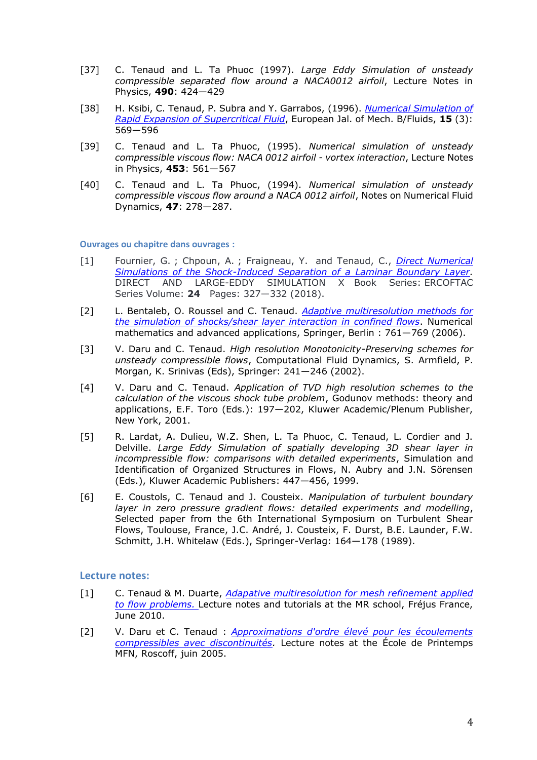- [37] C. Tenaud and L. Ta Phuoc (1997). *Large Eddy Simulation of unsteady compressible separated flow around a NACA0012 airfoil*, Lecture Notes in Physics, **490**: 424—429
- [38] H. Ksibi, C. Tenaud, P. Subra and Y. Garrabos, (1996). *[Numerical Simulation of](https://perso.limsi.fr/tenaud/Files/EJMB_15_4_Ksibi_p569_1996.pdf)  [Rapid Expansion of Supercritical Fluid](https://perso.limsi.fr/tenaud/Files/EJMB_15_4_Ksibi_p569_1996.pdf)*, European Jal. of Mech. B/Fluids, **15** (3): 569—596
- [39] C. Tenaud and L. Ta Phuoc, (1995). *Numerical simulation of unsteady compressible viscous flow: NACA 0012 airfoil - vortex interaction*, Lecture Notes in Physics, **453**: 561—567
- [40] C. Tenaud and L. Ta Phuoc, (1994). *Numerical simulation of unsteady compressible viscous flow around a NACA 0012 airfoil*, Notes on Numerical Fluid Dynamics, **47**: 278—287.

**Ouvrages ou chapitre dans ouvrages :**

- [1] Fournier, G. ; Chpoun, A. ; Fraigneau, Y. and Tenaud, C., *[Direct Numerical](https://perso.limsi.fr/tenaud/Files/Conferences/DLES10_Fournier_etal_2015.pdf)  [Simulations of the Shock-Induced Separation of a Laminar Boundary Layer.](https://perso.limsi.fr/tenaud/Files/Conferences/DLES10_Fournier_etal_2015.pdf)* DIRECT AND LARGE-EDDY SIMULATION X Book Series: ERCOFTAC Series Volume: **24** Pages: 327—332 (2018).
- [2] L. Bentaleb, O. Roussel and C. Tenaud. *[Adaptive multiresolution methods for](https://perso.limsi.fr/tenaud/Files/Enumath05_bentaleb.pdf)  [the simulation of shocks/shear layer interaction in confined flows](https://perso.limsi.fr/tenaud/Files/Enumath05_bentaleb.pdf)*. Numerical mathematics and advanced applications, Springer, Berlin : 761—769 (2006).
- [3] V. Daru and C. Tenaud. *High resolution Monotonicity-Preserving schemes for unsteady compressible flows*, Computational Fluid Dynamics, S. Armfield, P. Morgan, K. Srinivas (Eds), Springer: 241—246 (2002).
- [4] V. Daru and C. Tenaud. *Application of TVD high resolution schemes to the calculation of the viscous shock tube problem*, Godunov methods: theory and applications, E.F. Toro (Eds.): 197—202, Kluwer Academic/Plenum Publisher, New York, 2001.
- [5] R. Lardat, A. Dulieu, W.Z. Shen, L. Ta Phuoc, C. Tenaud, L. Cordier and J. Delville. *Large Eddy Simulation of spatially developing 3D shear layer in incompressible flow: comparisons with detailed experiments*, Simulation and Identification of Organized Structures in Flows, N. Aubry and J.N. Sörensen (Eds.), Kluwer Academic Publishers: 447—456, 1999.
- [6] E. Coustols, C. Tenaud and J. Cousteix. *Manipulation of turbulent boundary layer in zero pressure gradient flows: detailed experiments and modelling*, Selected paper from the 6th International Symposium on Turbulent Shear Flows, Toulouse, France, J.C. André, J. Cousteix, F. Durst, B.E. Launder, F.W. Schmitt, J.H. Whitelaw (Eds.), Springer-Verlag: 164—178 (1989).

## **Lecture notes:**

- [1] C. Tenaud & M. Duarte, *[Adapative multiresolution for mesh refinement applied](https://perso.limsi.fr/tenaud/Files/Support_TP_MR2010.pdf)  [to flow problems.](https://perso.limsi.fr/tenaud/Files/Support_TP_MR2010.pdf)* Lecture notes and tutorials at the MR school, Fréjus France, June 2010.
- [2] V. Daru et C. Tenaud : *[Approximations d'ordre élevé pour les écoulements](https://perso.limsi.fr/tenaud/Files/MFNschool_Daru_Tenaud.pdf)  [compressibles avec discontinuités.](https://perso.limsi.fr/tenaud/Files/MFNschool_Daru_Tenaud.pdf)* Lecture notes at the École de Printemps MFN, Roscoff, juin 2005.